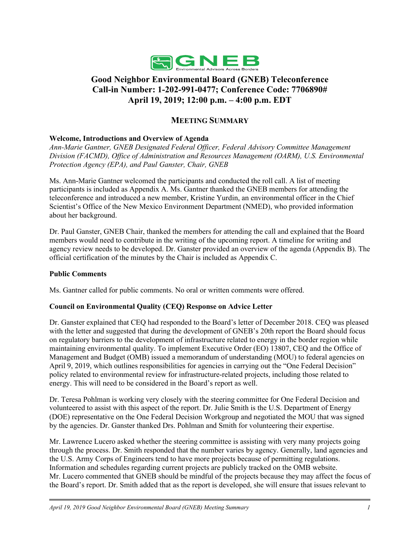

# **Good Neighbor Environmental Board (GNEB) Teleconference Call-in Number: 1-202-991-0477; Conference Code: 7706890# April 19, 2019; 12:00 p.m. – 4:00 p.m. EDT**

# **MEETING SUMMARY**

# **Welcome, Introductions and Overview of Agenda**

*Ann-Marie Gantner, GNEB Designated Federal Officer, Federal Advisory Committee Management Division (FACMD), Office of Administration and Resources Management (OARM), U.S. Environmental Protection Agency (EPA), and Paul Ganster, Chair, GNEB*

Ms. Ann-Marie Gantner welcomed the participants and conducted the roll call. A list of meeting participants is included as Appendix A. Ms. Gantner thanked the GNEB members for attending the teleconference and introduced a new member, Kristine Yurdin, an environmental officer in the Chief Scientist's Office of the New Mexico Environment Department (NMED), who provided information about her background.

Dr. Paul Ganster, GNEB Chair, thanked the members for attending the call and explained that the Board members would need to contribute in the writing of the upcoming report. A timeline for writing and agency review needs to be developed. Dr. Ganster provided an overview of the agenda (Appendix B). The official certification of the minutes by the Chair is included as Appendix C.

#### **Public Comments**

Ms. Gantner called for public comments. No oral or written comments were offered.

# **Council on Environmental Quality (CEQ) Response on Advice Letter**

Dr. Ganster explained that CEQ had responded to the Board's letter of December 2018. CEQ was pleased with the letter and suggested that during the development of GNEB's 20th report the Board should focus on regulatory barriers to the development of infrastructure related to energy in the border region while maintaining environmental quality. To implement Executive Order (EO) 13807, CEQ and the Office of Management and Budget (OMB) issued a memorandum of understanding (MOU) to federal agencies on April 9, 2019, which outlines responsibilities for agencies in carrying out the "One Federal Decision" policy related to environmental review for infrastructure-related projects, including those related to energy. This will need to be considered in the Board's report as well.

Dr. Teresa Pohlman is working very closely with the steering committee for One Federal Decision and volunteered to assist with this aspect of the report. Dr. Julie Smith is the U.S. Department of Energy (DOE) representative on the One Federal Decision Workgroup and negotiated the MOU that was signed by the agencies. Dr. Ganster thanked Drs. Pohlman and Smith for volunteering their expertise.

Mr. Lawrence Lucero asked whether the steering committee is assisting with very many projects going through the process. Dr. Smith responded that the number varies by agency. Generally, land agencies and the U.S. Army Corps of Engineers tend to have more projects because of permitting regulations. Information and schedules regarding current projects are publicly tracked on the OMB website. Mr. Lucero commented that GNEB should be mindful of the projects because they may affect the focus of the Board's report. Dr. Smith added that as the report is developed, she will ensure that issues relevant to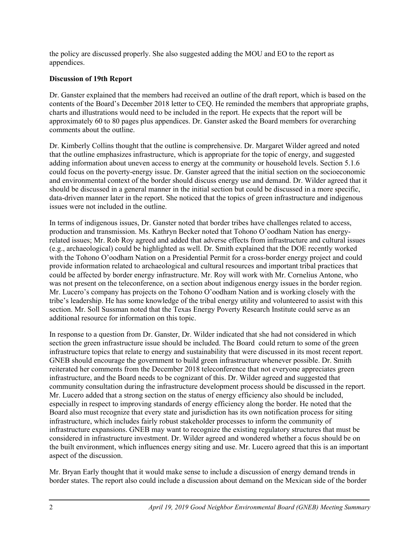the policy are discussed properly. She also suggested adding the MOU and EO to the report as appendices.

# **Discussion of 19th Report**

Dr. Ganster explained that the members had received an outline of the draft report, which is based on the contents of the Board's December 2018 letter to CEQ. He reminded the members that appropriate graphs, charts and illustrations would need to be included in the report. He expects that the report will be approximately 60 to 80 pages plus appendices. Dr. Ganster asked the Board members for overarching comments about the outline.

Dr. Kimberly Collins thought that the outline is comprehensive. Dr. Margaret Wilder agreed and noted that the outline emphasizes infrastructure, which is appropriate for the topic of energy, and suggested adding information about uneven access to energy at the community or household levels. Section 5.1.6 could focus on the poverty-energy issue. Dr. Ganster agreed that the initial section on the socioeconomic and environmental context of the border should discuss energy use and demand. Dr. Wilder agreed that it should be discussed in a general manner in the initial section but could be discussed in a more specific, data-driven manner later in the report. She noticed that the topics of green infrastructure and indigenous issues were not included in the outline.

In terms of indigenous issues, Dr. Ganster noted that border tribes have challenges related to access, production and transmission. Ms. Kathryn Becker noted that Tohono O'oodham Nation has energyrelated issues; Mr. Rob Roy agreed and added that adverse effects from infrastructure and cultural issues (e.g., archaeological) could be highlighted as well. Dr. Smith explained that the DOE recently worked with the Tohono O'oodham Nation on a Presidential Permit for a cross-border energy project and could provide information related to archaeological and cultural resources and important tribal practices that could be affected by border energy infrastructure. Mr. Roy will work with Mr. Cornelius Antone, who was not present on the teleconference, on a section about indigenous energy issues in the border region. Mr. Lucero's company has projects on the Tohono O'oodham Nation and is working closely with the tribe's leadership. He has some knowledge of the tribal energy utility and volunteered to assist with this section. Mr. Soll Sussman noted that the Texas Energy Poverty Research Institute could serve as an additional resource for information on this topic.

In response to a question from Dr. Ganster, Dr. Wilder indicated that she had not considered in which section the green infrastructure issue should be included. The Board could return to some of the green infrastructure topics that relate to energy and sustainability that were discussed in its most recent report. GNEB should encourage the government to build green infrastructure whenever possible. Dr. Smith reiterated her comments from the December 2018 teleconference that not everyone appreciates green infrastructure, and the Board needs to be cognizant of this. Dr. Wilder agreed and suggested that community consultation during the infrastructure development process should be discussed in the report. Mr. Lucero added that a strong section on the status of energy efficiency also should be included, especially in respect to improving standards of energy efficiency along the border. He noted that the Board also must recognize that every state and jurisdiction has its own notification process for siting infrastructure, which includes fairly robust stakeholder processes to inform the community of infrastructure expansions. GNEB may want to recognize the existing regulatory structures that must be considered in infrastructure investment. Dr. Wilder agreed and wondered whether a focus should be on the built environment, which influences energy siting and use. Mr. Lucero agreed that this is an important aspect of the discussion.

Mr. Bryan Early thought that it would make sense to include a discussion of energy demand trends in border states. The report also could include a discussion about demand on the Mexican side of the border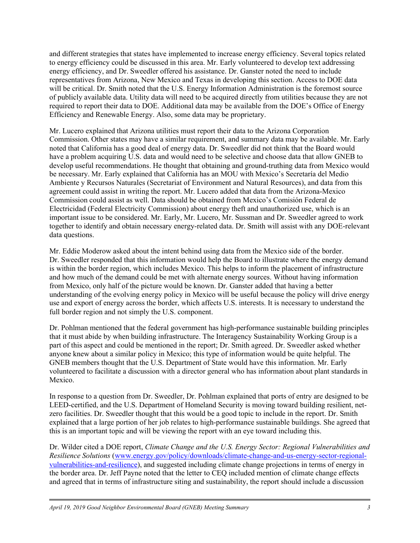and different strategies that states have implemented to increase energy efficiency. Several topics related to energy efficiency could be discussed in this area. Mr. Early volunteered to develop text addressing energy efficiency, and Dr. Sweedler offered his assistance. Dr. Ganster noted the need to include representatives from Arizona, New Mexico and Texas in developing this section. Access to DOE data will be critical. Dr. Smith noted that the U.S. Energy Information Administration is the foremost source of publicly available data. Utility data will need to be acquired directly from utilities because they are not required to report their data to DOE. Additional data may be available from the DOE's Office of Energy Efficiency and Renewable Energy. Also, some data may be proprietary.

Mr. Lucero explained that Arizona utilities must report their data to the Arizona Corporation Commission. Other states may have a similar requirement, and summary data may be available. Mr. Early noted that California has a good deal of energy data. Dr. Sweedler did not think that the Board would have a problem acquiring U.S. data and would need to be selective and choose data that allow GNEB to develop useful recommendations. He thought that obtaining and ground-truthing data from Mexico would be necessary. Mr. Early explained that California has an MOU with Mexico's Secretaría del Medio Ambiente y Recursos Naturales (Secretariat of Environment and Natural Resources), and data from this agreement could assist in writing the report. Mr. Lucero added that data from the Arizona-Mexico Commission could assist as well. Data should be obtained from Mexico's Comisión Federal de Electricidad (Federal Electricity Commission) about energy theft and unauthorized use, which is an important issue to be considered. Mr. Early, Mr. Lucero, Mr. Sussman and Dr. Sweedler agreed to work together to identify and obtain necessary energy-related data. Dr. Smith will assist with any DOE-relevant data questions.

Mr. Eddie Moderow asked about the intent behind using data from the Mexico side of the border. Dr. Sweedler responded that this information would help the Board to illustrate where the energy demand is within the border region, which includes Mexico. This helps to inform the placement of infrastructure and how much of the demand could be met with alternate energy sources. Without having information from Mexico, only half of the picture would be known. Dr. Ganster added that having a better understanding of the evolving energy policy in Mexico will be useful because the policy will drive energy use and export of energy across the border, which affects U.S. interests. It is necessary to understand the full border region and not simply the U.S. component.

Dr. Pohlman mentioned that the federal government has high-performance sustainable building principles that it must abide by when building infrastructure. The Interagency Sustainability Working Group is a part of this aspect and could be mentioned in the report; Dr. Smith agreed. Dr. Sweedler asked whether anyone knew about a similar policy in Mexico; this type of information would be quite helpful. The GNEB members thought that the U.S. Department of State would have this information. Mr. Early volunteered to facilitate a discussion with a director general who has information about plant standards in Mexico.

In response to a question from Dr. Sweedler, Dr. Pohlman explained that ports of entry are designed to be LEED-certified, and the U.S. Department of Homeland Security is moving toward building resilient, netzero facilities. Dr. Sweedler thought that this would be a good topic to include in the report. Dr. Smith explained that a large portion of her job relates to high-performance sustainable buildings. She agreed that this is an important topic and will be viewing the report with an eye toward including this.

Dr. Wilder cited a DOE report, *Climate Change and the U.S. Energy Sector: Regional Vulnerabilities and Resilience Solutions* [\(www.energy.gov/policy/downloads/climate-change-and-us-energy-sector-regional](http://www.energy.gov/policy/downloads/climate-change-and-us-energy-sector-regional-vulnerabilities-and-resilience)[vulnerabilities-and-resilience\)](http://www.energy.gov/policy/downloads/climate-change-and-us-energy-sector-regional-vulnerabilities-and-resilience), and suggested including climate change projections in terms of energy in the border area. Dr. Jeff Payne noted that the letter to CEQ included mention of climate change effects and agreed that in terms of infrastructure siting and sustainability, the report should include a discussion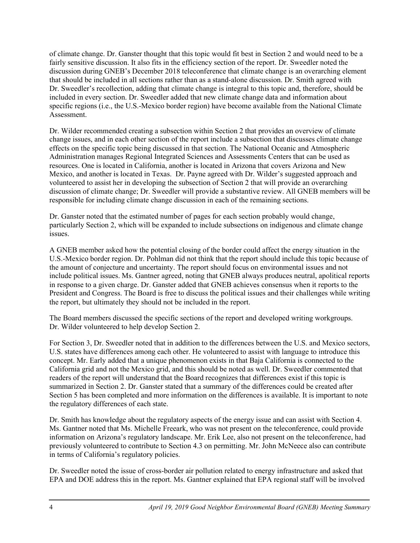of climate change. Dr. Ganster thought that this topic would fit best in Section 2 and would need to be a fairly sensitive discussion. It also fits in the efficiency section of the report. Dr. Sweedler noted the discussion during GNEB's December 2018 teleconference that climate change is an overarching element that should be included in all sections rather than as a stand-alone discussion. Dr. Smith agreed with Dr. Sweedler's recollection, adding that climate change is integral to this topic and, therefore, should be included in every section. Dr. Sweedler added that new climate change data and information about specific regions (i.e., the U.S.-Mexico border region) have become available from the National Climate Assessment.

Dr. Wilder recommended creating a subsection within Section 2 that provides an overview of climate change issues, and in each other section of the report include a subsection that discusses climate change effects on the specific topic being discussed in that section. The National Oceanic and Atmospheric Administration manages Regional Integrated Sciences and Assessments Centers that can be used as resources. One is located in California, another is located in Arizona that covers Arizona and New Mexico, and another is located in Texas. Dr. Payne agreed with Dr. Wilder's suggested approach and volunteered to assist her in developing the subsection of Section 2 that will provide an overarching discussion of climate change; Dr. Sweedler will provide a substantive review. All GNEB members will be responsible for including climate change discussion in each of the remaining sections.

Dr. Ganster noted that the estimated number of pages for each section probably would change, particularly Section 2, which will be expanded to include subsections on indigenous and climate change issues.

A GNEB member asked how the potential closing of the border could affect the energy situation in the U.S.-Mexico border region. Dr. Pohlman did not think that the report should include this topic because of the amount of conjecture and uncertainty. The report should focus on environmental issues and not include political issues. Ms. Gantner agreed, noting that GNEB always produces neutral, apolitical reports in response to a given charge. Dr. Ganster added that GNEB achieves consensus when it reports to the President and Congress. The Board is free to discuss the political issues and their challenges while writing the report, but ultimately they should not be included in the report.

The Board members discussed the specific sections of the report and developed writing workgroups. Dr. Wilder volunteered to help develop Section 2.

For Section 3, Dr. Sweedler noted that in addition to the differences between the U.S. and Mexico sectors, U.S. states have differences among each other. He volunteered to assist with language to introduce this concept. Mr. Early added that a unique phenomenon exists in that Baja California is connected to the California grid and not the Mexico grid, and this should be noted as well. Dr. Sweedler commented that readers of the report will understand that the Board recognizes that differences exist if this topic is summarized in Section 2. Dr. Ganster stated that a summary of the differences could be created after Section 5 has been completed and more information on the differences is available. It is important to note the regulatory differences of each state.

Dr. Smith has knowledge about the regulatory aspects of the energy issue and can assist with Section 4. Ms. Gantner noted that Ms. Michelle Freeark, who was not present on the teleconference, could provide information on Arizona's regulatory landscape. Mr. Erik Lee, also not present on the teleconference, had previously volunteered to contribute to Section 4.3 on permitting. Mr. John McNeece also can contribute in terms of California's regulatory policies.

Dr. Sweedler noted the issue of cross-border air pollution related to energy infrastructure and asked that EPA and DOE address this in the report. Ms. Gantner explained that EPA regional staff will be involved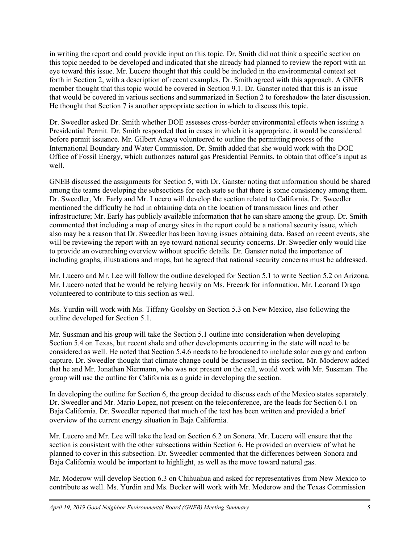in writing the report and could provide input on this topic. Dr. Smith did not think a specific section on this topic needed to be developed and indicated that she already had planned to review the report with an eye toward this issue. Mr. Lucero thought that this could be included in the environmental context set forth in Section 2, with a description of recent examples. Dr. Smith agreed with this approach. A GNEB member thought that this topic would be covered in Section 9.1. Dr. Ganster noted that this is an issue that would be covered in various sections and summarized in Section 2 to foreshadow the later discussion. He thought that Section 7 is another appropriate section in which to discuss this topic.

Dr. Sweedler asked Dr. Smith whether DOE assesses cross-border environmental effects when issuing a Presidential Permit. Dr. Smith responded that in cases in which it is appropriate, it would be considered before permit issuance. Mr. Gilbert Anaya volunteered to outline the permitting process of the International Boundary and Water Commission. Dr. Smith added that she would work with the DOE Office of Fossil Energy, which authorizes natural gas Presidential Permits, to obtain that office's input as well.

GNEB discussed the assignments for Section 5, with Dr. Ganster noting that information should be shared among the teams developing the subsections for each state so that there is some consistency among them. Dr. Sweedler, Mr. Early and Mr. Lucero will develop the section related to California. Dr. Sweedler mentioned the difficulty he had in obtaining data on the location of transmission lines and other infrastructure; Mr. Early has publicly available information that he can share among the group. Dr. Smith commented that including a map of energy sites in the report could be a national security issue, which also may be a reason that Dr. Sweedler has been having issues obtaining data. Based on recent events, she will be reviewing the report with an eye toward national security concerns. Dr. Sweedler only would like to provide an overarching overview without specific details. Dr. Ganster noted the importance of including graphs, illustrations and maps, but he agreed that national security concerns must be addressed.

Mr. Lucero and Mr. Lee will follow the outline developed for Section 5.1 to write Section 5.2 on Arizona. Mr. Lucero noted that he would be relying heavily on Ms. Freeark for information. Mr. Leonard Drago volunteered to contribute to this section as well.

Ms. Yurdin will work with Ms. Tiffany Goolsby on Section 5.3 on New Mexico, also following the outline developed for Section 5.1.

Mr. Sussman and his group will take the Section 5.1 outline into consideration when developing Section 5.4 on Texas, but recent shale and other developments occurring in the state will need to be considered as well. He noted that Section 5.4.6 needs to be broadened to include solar energy and carbon capture. Dr. Sweedler thought that climate change could be discussed in this section. Mr. Moderow added that he and Mr. Jonathan Niermann, who was not present on the call, would work with Mr. Sussman. The group will use the outline for California as a guide in developing the section.

In developing the outline for Section 6, the group decided to discuss each of the Mexico states separately. Dr. Sweedler and Mr. Mario Lopez, not present on the teleconference, are the leads for Section 6.1 on Baja California. Dr. Sweedler reported that much of the text has been written and provided a brief overview of the current energy situation in Baja California.

Mr. Lucero and Mr. Lee will take the lead on Section 6.2 on Sonora. Mr. Lucero will ensure that the section is consistent with the other subsections within Section 6. He provided an overview of what he planned to cover in this subsection. Dr. Sweedler commented that the differences between Sonora and Baja California would be important to highlight, as well as the move toward natural gas.

Mr. Moderow will develop Section 6.3 on Chihuahua and asked for representatives from New Mexico to contribute as well. Ms. Yurdin and Ms. Becker will work with Mr. Moderow and the Texas Commission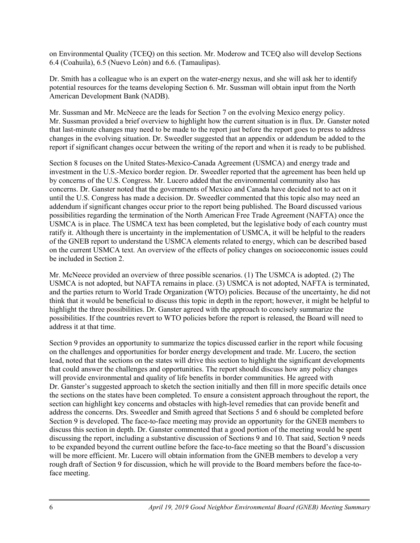on Environmental Quality (TCEQ) on this section. Mr. Moderow and TCEQ also will develop Sections 6.4 (Coahuila), 6.5 (Nuevo León) and 6.6. (Tamaulipas).

Dr. Smith has a colleague who is an expert on the water-energy nexus, and she will ask her to identify potential resources for the teams developing Section 6. Mr. Sussman will obtain input from the North American Development Bank (NADB).

Mr. Sussman and Mr. McNeece are the leads for Section 7 on the evolving Mexico energy policy. Mr. Sussman provided a brief overview to highlight how the current situation is in flux. Dr. Ganster noted that last-minute changes may need to be made to the report just before the report goes to press to address changes in the evolving situation. Dr. Sweedler suggested that an appendix or addendum be added to the report if significant changes occur between the writing of the report and when it is ready to be published.

Section 8 focuses on the United States-Mexico-Canada Agreement (USMCA) and energy trade and investment in the U.S.-Mexico border region. Dr. Sweedler reported that the agreement has been held up by concerns of the U.S. Congress. Mr. Lucero added that the environmental community also has concerns. Dr. Ganster noted that the governments of Mexico and Canada have decided not to act on it until the U.S. Congress has made a decision. Dr. Sweedler commented that this topic also may need an addendum if significant changes occur prior to the report being published. The Board discussed various possibilities regarding the termination of the North American Free Trade Agreement (NAFTA) once the USMCA is in place. The USMCA text has been completed, but the legislative body of each country must ratify it. Although there is uncertainty in the implementation of USMCA, it will be helpful to the readers of the GNEB report to understand the USMCA elements related to energy, which can be described based on the current USMCA text. An overview of the effects of policy changes on socioeconomic issues could be included in Section 2.

Mr. McNeece provided an overview of three possible scenarios. (1) The USMCA is adopted. (2) The USMCA is not adopted, but NAFTA remains in place. (3) USMCA is not adopted, NAFTA is terminated, and the parties return to World Trade Organization (WTO) policies. Because of the uncertainty, he did not think that it would be beneficial to discuss this topic in depth in the report; however, it might be helpful to highlight the three possibilities. Dr. Ganster agreed with the approach to concisely summarize the possibilities. If the countries revert to WTO policies before the report is released, the Board will need to address it at that time.

Section 9 provides an opportunity to summarize the topics discussed earlier in the report while focusing on the challenges and opportunities for border energy development and trade. Mr. Lucero, the section lead, noted that the sections on the states will drive this section to highlight the significant developments that could answer the challenges and opportunities. The report should discuss how any policy changes will provide environmental and quality of life benefits in border communities. He agreed with Dr. Ganster's suggested approach to sketch the section initially and then fill in more specific details once the sections on the states have been completed. To ensure a consistent approach throughout the report, the section can highlight key concerns and obstacles with high-level remedies that can provide benefit and address the concerns. Drs. Sweedler and Smith agreed that Sections 5 and 6 should be completed before Section 9 is developed. The face-to-face meeting may provide an opportunity for the GNEB members to discuss this section in depth. Dr. Ganster commented that a good portion of the meeting would be spent discussing the report, including a substantive discussion of Sections 9 and 10. That said, Section 9 needs to be expanded beyond the current outline before the face-to-face meeting so that the Board's discussion will be more efficient. Mr. Lucero will obtain information from the GNEB members to develop a very rough draft of Section 9 for discussion, which he will provide to the Board members before the face-toface meeting.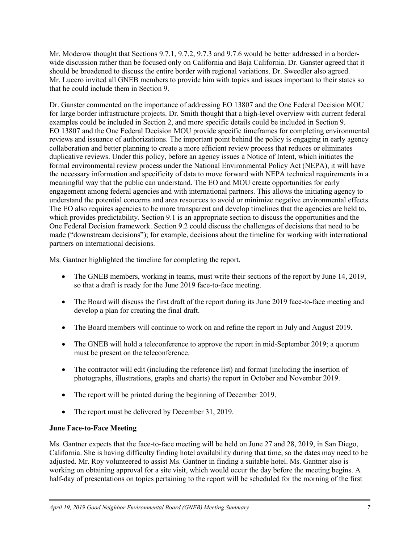Mr. Moderow thought that Sections 9.7.1, 9.7.2, 9.7.3 and 9.7.6 would be better addressed in a borderwide discussion rather than be focused only on California and Baja California. Dr. Ganster agreed that it should be broadened to discuss the entire border with regional variations. Dr. Sweedler also agreed. Mr. Lucero invited all GNEB members to provide him with topics and issues important to their states so that he could include them in Section 9.

Dr. Ganster commented on the importance of addressing EO 13807 and the One Federal Decision MOU for large border infrastructure projects. Dr. Smith thought that a high-level overview with current federal examples could be included in Section 2, and more specific details could be included in Section 9. EO 13807 and the One Federal Decision MOU provide specific timeframes for completing environmental reviews and issuance of authorizations. The important point behind the policy is engaging in early agency collaboration and better planning to create a more efficient review process that reduces or eliminates duplicative reviews. Under this policy, before an agency issues a Notice of Intent, which initiates the formal environmental review process under the National Environmental Policy Act (NEPA), it will have the necessary information and specificity of data to move forward with NEPA technical requirements in a meaningful way that the public can understand. The EO and MOU create opportunities for early engagement among federal agencies and with international partners. This allows the initiating agency to understand the potential concerns and area resources to avoid or minimize negative environmental effects. The EO also requires agencies to be more transparent and develop timelines that the agencies are held to, which provides predictability. Section 9.1 is an appropriate section to discuss the opportunities and the One Federal Decision framework. Section 9.2 could discuss the challenges of decisions that need to be made ("downstream decisions"); for example, decisions about the timeline for working with international partners on international decisions.

Ms. Gantner highlighted the timeline for completing the report.

- The GNEB members, working in teams, must write their sections of the report by June 14, 2019, so that a draft is ready for the June 2019 face-to-face meeting.
- The Board will discuss the first draft of the report during its June 2019 face-to-face meeting and develop a plan for creating the final draft.
- The Board members will continue to work on and refine the report in July and August 2019.
- The GNEB will hold a teleconference to approve the report in mid-September 2019; a quorum must be present on the teleconference.
- The contractor will edit (including the reference list) and format (including the insertion of photographs, illustrations, graphs and charts) the report in October and November 2019.
- The report will be printed during the beginning of December 2019.
- The report must be delivered by December 31, 2019.

# **June Face-to-Face Meeting**

Ms. Gantner expects that the face-to-face meeting will be held on June 27 and 28, 2019, in San Diego, California. She is having difficulty finding hotel availability during that time, so the dates may need to be adjusted. Mr. Roy volunteered to assist Ms. Gantner in finding a suitable hotel. Ms. Gantner also is working on obtaining approval for a site visit, which would occur the day before the meeting begins. A half-day of presentations on topics pertaining to the report will be scheduled for the morning of the first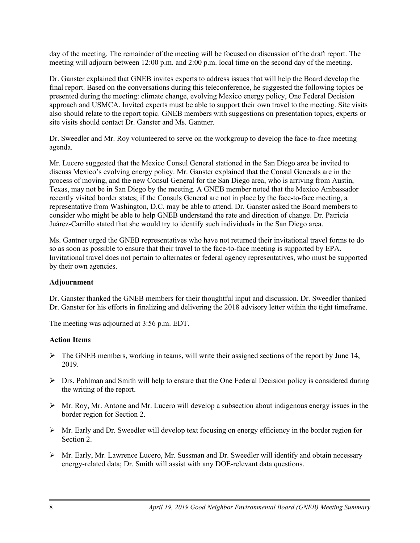day of the meeting. The remainder of the meeting will be focused on discussion of the draft report. The meeting will adjourn between 12:00 p.m. and 2:00 p.m. local time on the second day of the meeting.

Dr. Ganster explained that GNEB invites experts to address issues that will help the Board develop the final report. Based on the conversations during this teleconference, he suggested the following topics be presented during the meeting: climate change, evolving Mexico energy policy, One Federal Decision approach and USMCA. Invited experts must be able to support their own travel to the meeting. Site visits also should relate to the report topic. GNEB members with suggestions on presentation topics, experts or site visits should contact Dr. Ganster and Ms. Gantner.

Dr. Sweedler and Mr. Roy volunteered to serve on the workgroup to develop the face-to-face meeting agenda.

Mr. Lucero suggested that the Mexico Consul General stationed in the San Diego area be invited to discuss Mexico's evolving energy policy. Mr. Ganster explained that the Consul Generals are in the process of moving, and the new Consul General for the San Diego area, who is arriving from Austin, Texas, may not be in San Diego by the meeting. A GNEB member noted that the Mexico Ambassador recently visited border states; if the Consuls General are not in place by the face-to-face meeting, a representative from Washington, D.C. may be able to attend. Dr. Ganster asked the Board members to consider who might be able to help GNEB understand the rate and direction of change. Dr. Patricia Juárez-Carrillo stated that she would try to identify such individuals in the San Diego area.

Ms. Gantner urged the GNEB representatives who have not returned their invitational travel forms to do so as soon as possible to ensure that their travel to the face-to-face meeting is supported by EPA. Invitational travel does not pertain to alternates or federal agency representatives, who must be supported by their own agencies.

# **Adjournment**

Dr. Ganster thanked the GNEB members for their thoughtful input and discussion. Dr. Sweedler thanked Dr. Ganster for his efforts in finalizing and delivering the 2018 advisory letter within the tight timeframe.

The meeting was adjourned at 3:56 p.m. EDT.

# **Action Items**

- $\triangleright$  The GNEB members, working in teams, will write their assigned sections of the report by June 14, 2019.
- $\triangleright$  Drs. Pohlman and Smith will help to ensure that the One Federal Decision policy is considered during the writing of the report.
- $\triangleright$  Mr. Roy, Mr. Antone and Mr. Lucero will develop a subsection about indigenous energy issues in the border region for Section 2.
- $\triangleright$  Mr. Early and Dr. Sweedler will develop text focusing on energy efficiency in the border region for Section 2.
- $\triangleright$  Mr. Early, Mr. Lawrence Lucero, Mr. Sussman and Dr. Sweedler will identify and obtain necessary energy-related data; Dr. Smith will assist with any DOE-relevant data questions.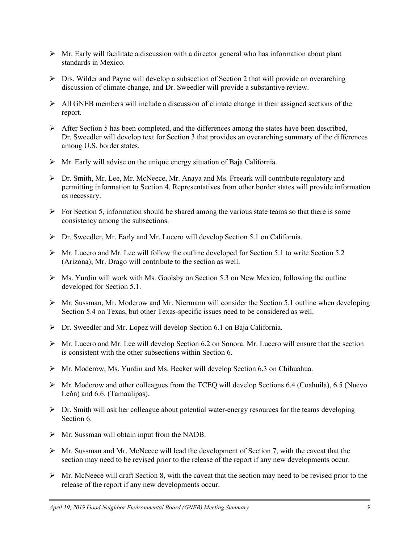- $\triangleright$  Mr. Early will facilitate a discussion with a director general who has information about plant standards in Mexico.
- $\triangleright$  Drs. Wilder and Payne will develop a subsection of Section 2 that will provide an overarching discussion of climate change, and Dr. Sweedler will provide a substantive review.
- $\triangleright$  All GNEB members will include a discussion of climate change in their assigned sections of the report.
- $\triangleright$  After Section 5 has been completed, and the differences among the states have been described, Dr. Sweedler will develop text for Section 3 that provides an overarching summary of the differences among U.S. border states.
- Mr. Early will advise on the unique energy situation of Baja California.
- Dr. Smith, Mr. Lee, Mr. McNeece, Mr. Anaya and Ms. Freeark will contribute regulatory and permitting information to Section 4. Representatives from other border states will provide information as necessary.
- $\triangleright$  For Section 5, information should be shared among the various state teams so that there is some consistency among the subsections.
- Dr. Sweedler, Mr. Early and Mr. Lucero will develop Section 5.1 on California.
- $\triangleright$  Mr. Lucero and Mr. Lee will follow the outline developed for Section 5.1 to write Section 5.2 (Arizona); Mr. Drago will contribute to the section as well.
- $\triangleright$  Ms. Yurdin will work with Ms. Goolsby on Section 5.3 on New Mexico, following the outline developed for Section 5.1.
- $\triangleright$  Mr. Sussman, Mr. Moderow and Mr. Niermann will consider the Section 5.1 outline when developing Section 5.4 on Texas, but other Texas-specific issues need to be considered as well.
- Dr. Sweedler and Mr. Lopez will develop Section 6.1 on Baja California.
- $\triangleright$  Mr. Lucero and Mr. Lee will develop Section 6.2 on Sonora. Mr. Lucero will ensure that the section is consistent with the other subsections within Section 6.
- $\triangleright$  Mr. Moderow, Ms. Yurdin and Ms. Becker will develop Section 6.3 on Chihuahua.
- $\triangleright$  Mr. Moderow and other colleagues from the TCEQ will develop Sections 6.4 (Coahuila), 6.5 (Nuevo León) and 6.6. (Tamaulipas).
- $\triangleright$  Dr. Smith will ask her colleague about potential water-energy resources for the teams developing Section 6.
- $\triangleright$  Mr. Sussman will obtain input from the NADB.
- $\triangleright$  Mr. Sussman and Mr. McNeece will lead the development of Section 7, with the caveat that the section may need to be revised prior to the release of the report if any new developments occur.
- $\triangleright$  Mr. McNeece will draft Section 8, with the caveat that the section may need to be revised prior to the release of the report if any new developments occur.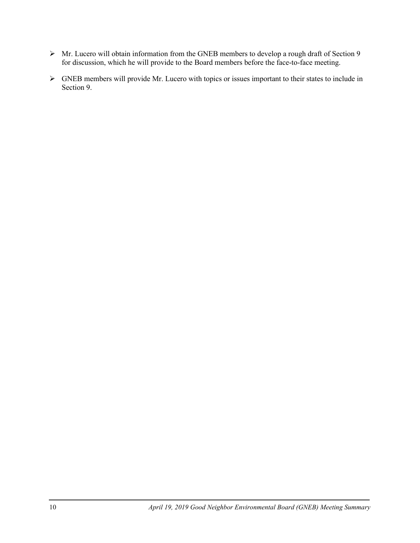- Mr. Lucero will obtain information from the GNEB members to develop a rough draft of Section 9 for discussion, which he will provide to the Board members before the face-to-face meeting.
- GNEB members will provide Mr. Lucero with topics or issues important to their states to include in Section 9.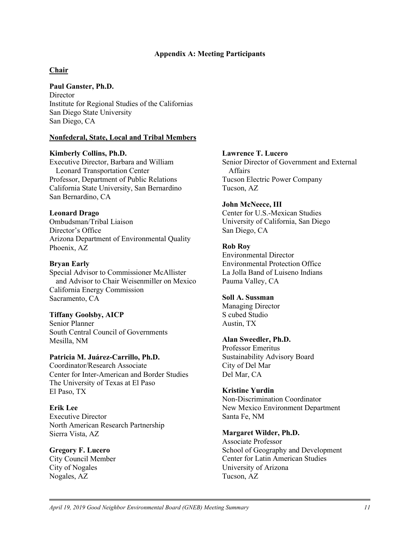#### **Appendix A: Meeting Participants**

# **Chair**

### **Paul Ganster, Ph.D.**

Director Institute for Regional Studies of the Californias San Diego State University San Diego, CA

# **Nonfederal, State, Local and Tribal Members**

### **Kimberly Collins, Ph.D.**

Executive Director, Barbara and William Leonard Transportation Center Professor, Department of Public Relations California State University, San Bernardino San Bernardino, CA

### **Leonard Drago**

Ombudsman/Tribal Liaison Director's Office Arizona Department of Environmental Quality Phoenix, AZ

# **Bryan Early**

Special Advisor to Commissioner McAllister and Advisor to Chair Weisenmiller on Mexico California Energy Commission Sacramento, CA

# **Tiffany Goolsby, AICP**

Senior Planner South Central Council of Governments Mesilla, NM

# **Patricia M. Juárez-Carrillo, Ph.D.**

Coordinator/Research Associate Center for Inter-American and Border Studies The University of Texas at El Paso El Paso, TX

### **Erik Lee** Executive Director North American Research Partnership

Sierra Vista, AZ

# **Gregory F. Lucero**

City Council Member City of Nogales Nogales, AZ

### **Lawrence T. Lucero**

Senior Director of Government and External Affairs Tucson Electric Power Company Tucson, AZ

### **John McNeece, III**

Center for U.S.-Mexican Studies University of California, San Diego San Diego, CA

### **Rob Roy**

Environmental Director Environmental Protection Office La Jolla Band of Luiseno Indians Pauma Valley, CA

# **Soll A. Sussman**

Managing Director S cubed Studio Austin, TX

# **Alan Sweedler, Ph.D.**

Professor Emeritus Sustainability Advisory Board City of Del Mar Del Mar, CA

# **Kristine Yurdin**

Non-Discrimination Coordinator New Mexico Environment Department Santa Fe, NM

#### **Margaret Wilder, Ph.D.**

Associate Professor School of Geography and Development Center for Latin American Studies University of Arizona Tucson, AZ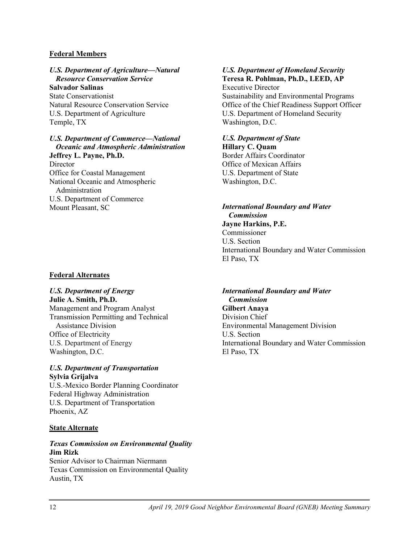#### **Federal Members**

*U.S. Department of Agriculture—Natural Resource Conservation Service* **Salvador Salinas** State Conservationist Natural Resource Conservation Service U.S. Department of Agriculture Temple, TX

#### *U.S. Department of Commerce—National Oceanic and Atmospheric Administration*

**Jeffrey L. Payne, Ph.D. Director** Office for Coastal Management National Oceanic and Atmospheric Administration U.S. Department of Commerce Mount Pleasant, SC

### **Federal Alternates**

*U.S. Department of Energy*

**Julie A. Smith, Ph.D.** Management and Program Analyst Transmission Permitting and Technical Assistance Division Office of Electricity U.S. Department of Energy Washington, D.C.

#### *U.S. Department of Transportation* **Sylvia Grijalva**

U.S.-Mexico Border Planning Coordinator Federal Highway Administration U.S. Department of Transportation Phoenix, AZ

#### **State Alternate**

### *Texas Commission on Environmental Quality* **Jim Rizk**

Senior Advisor to Chairman Niermann Texas Commission on Environmental Quality Austin, TX

#### *U.S. Department of Homeland Security*  **Teresa R. Pohlman, Ph.D., LEED, AP** Executive Director

Sustainability and Environmental Programs Office of the Chief Readiness Support Officer U.S. Department of Homeland Security Washington, D.C.

# *U.S. Department of State* **Hillary C. Quam** Border Affairs Coordinator Office of Mexican Affairs

U.S. Department of State Washington, D.C.

#### *International Boundary and Water Commission* **Jayne Harkins, P.E.**

Commissioner U.S. Section International Boundary and Water Commission El Paso, TX

# *International Boundary and Water*

*Commission* **Gilbert Anaya** Division Chief Environmental Management Division U.S. Section International Boundary and Water Commission El Paso, TX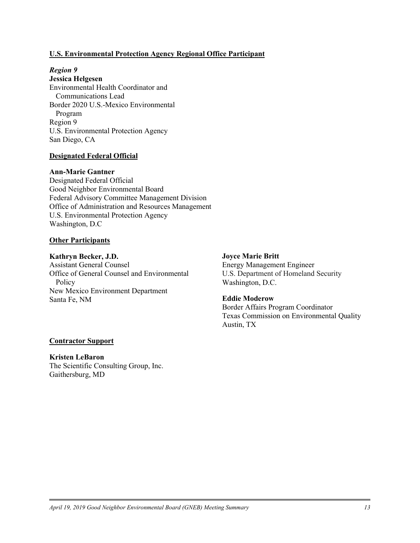#### **U.S. Environmental Protection Agency Regional Office Participant**

# *Region 9*

**Jessica Helgesen** Environmental Health Coordinator and Communications Lead Border 2020 U.S.-Mexico Environmental Program Region 9 U.S. Environmental Protection Agency San Diego, CA

#### **Designated Federal Official**

#### **Ann-Marie Gantner**

Designated Federal Official Good Neighbor Environmental Board Federal Advisory Committee Management Division Office of Administration and Resources Management U.S. Environmental Protection Agency Washington, D.C

#### **Other Participants**

#### **Kathryn Becker, J.D.**

Assistant General Counsel Office of General Counsel and Environmental **Policy** New Mexico Environment Department Santa Fe, NM

#### **Joyce Marie Britt**

Energy Management Engineer U.S. Department of Homeland Security Washington, D.C.

#### **Eddie Moderow**

Border Affairs Program Coordinator Texas Commission on Environmental Quality Austin, TX

#### **Contractor Support**

#### **Kristen LeBaron** The Scientific Consulting Group, Inc. Gaithersburg, MD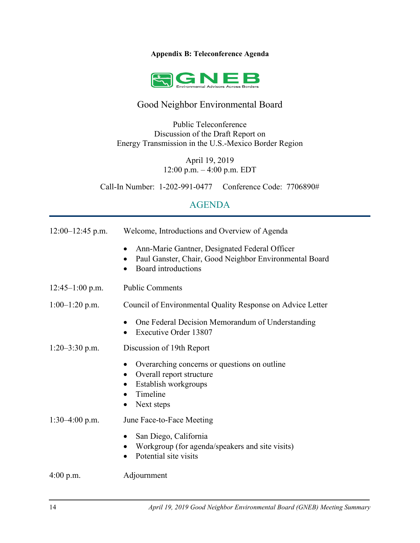# **Appendix B: Teleconference Agenda**



# Good Neighbor Environmental Board

Public Teleconference Discussion of the Draft Report on Energy Transmission in the U.S.-Mexico Border Region

> April 19, 2019 12:00 p.m. – 4:00 p.m. EDT

Call-In Number: 1-202-991-0477 Conference Code: 7706890#

# AGENDA

| $12:00-12:45$ p.m. | Welcome, Introductions and Overview of Agenda                                                                                                                         |
|--------------------|-----------------------------------------------------------------------------------------------------------------------------------------------------------------------|
|                    | Ann-Marie Gantner, Designated Federal Officer<br>$\bullet$<br>Paul Ganster, Chair, Good Neighbor Environmental Board<br>$\bullet$<br>Board introductions<br>$\bullet$ |
| $12:45-1:00$ p.m.  | <b>Public Comments</b>                                                                                                                                                |
| $1:00-1:20$ p.m.   | Council of Environmental Quality Response on Advice Letter                                                                                                            |
|                    | One Federal Decision Memorandum of Understanding<br><b>Executive Order 13807</b><br>$\bullet$                                                                         |
| $1:20-3:30$ p.m.   | Discussion of 19th Report                                                                                                                                             |
|                    | Overarching concerns or questions on outline<br>Overall report structure<br>Establish workgroups<br>Timeline<br>Next steps<br>$\bullet$                               |
| $1:30-4:00$ p.m.   | June Face-to-Face Meeting                                                                                                                                             |
|                    | San Diego, California<br>Workgroup (for agenda/speakers and site visits)<br>Potential site visits<br>$\bullet$                                                        |
| $4:00$ p.m.        | Adjournment                                                                                                                                                           |